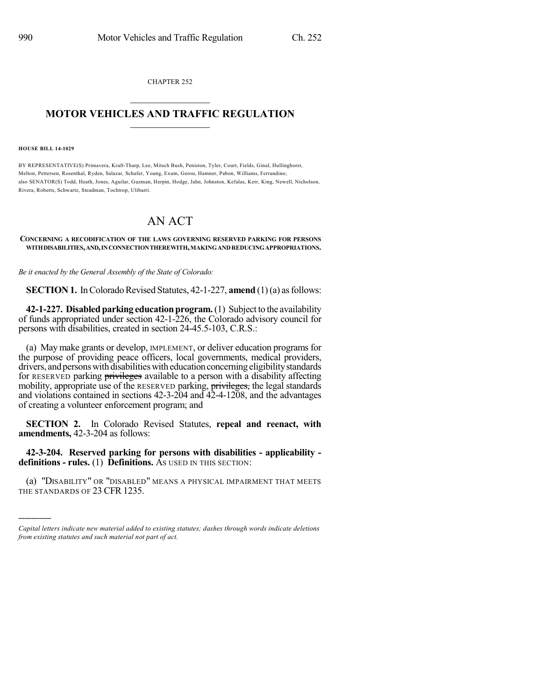CHAPTER 252  $\overline{\phantom{a}}$  . The set of the set of the set of the set of the set of the set of the set of the set of the set of the set of the set of the set of the set of the set of the set of the set of the set of the set of the set o

## **MOTOR VEHICLES AND TRAFFIC REGULATION**  $\frac{1}{2}$  ,  $\frac{1}{2}$  ,  $\frac{1}{2}$  ,  $\frac{1}{2}$  ,  $\frac{1}{2}$  ,  $\frac{1}{2}$  ,  $\frac{1}{2}$

**HOUSE BILL 14-1029**

)))))

BY REPRESENTATIVE(S) Primavera, Kraft-Tharp, Lee, Mitsch Bush, Peniston, Tyler, Court, Fields, Ginal, Hullinghorst, Melton, Pettersen, Rosenthal, Ryden, Salazar, Schafer, Young, Exum, Gerou, Hamner, Pabon, Williams, Ferrandino; also SENATOR(S) Todd, Heath, Jones, Aguilar, Guzman, Herpin, Hodge, Jahn, Johnston, Kefalas, Kerr, King, Newell, Nicholson, Rivera, Roberts, Schwartz, Steadman, Tochtrop, Ulibarri.

## AN ACT

## **CONCERNING A RECODIFICATION OF THE LAWS GOVERNING RESERVED PARKING FOR PERSONS WITHDISABILITIES,AND,INCONNECTIONTHEREWITH,MAKINGANDREDUCINGAPPROPRIATIONS.**

*Be it enacted by the General Assembly of the State of Colorado:*

**SECTION 1.** In Colorado Revised Statutes, 42-1-227, **amend** (1)(a) as follows:

**42-1-227. Disabled parking education program.** (1) Subject to the availability of funds appropriated under section 42-1-226, the Colorado advisory council for persons with disabilities, created in section 24-45.5-103, C.R.S.:

(a) May make grants or develop, IMPLEMENT, or deliver education programs for the purpose of providing peace officers, local governments, medical providers, drivers, and persons with disabilities with education concerning eligibility standards for RESERVED parking **privileges** available to a person with a disability affecting mobility, appropriate use of the RESERVED parking, privileges, the legal standards and violations contained in sections 42-3-204 and 42-4-1208, and the advantages of creating a volunteer enforcement program; and

**SECTION 2.** In Colorado Revised Statutes, **repeal and reenact, with amendments,** 42-3-204 as follows:

**42-3-204. Reserved parking for persons with disabilities - applicability definitions - rules.** (1) **Definitions.** AS USED IN THIS SECTION:

(a) "DISABILITY" OR "DISABLED" MEANS A PHYSICAL IMPAIRMENT THAT MEETS THE STANDARDS OF 23 CFR 1235.

*Capital letters indicate new material added to existing statutes; dashes through words indicate deletions from existing statutes and such material not part of act.*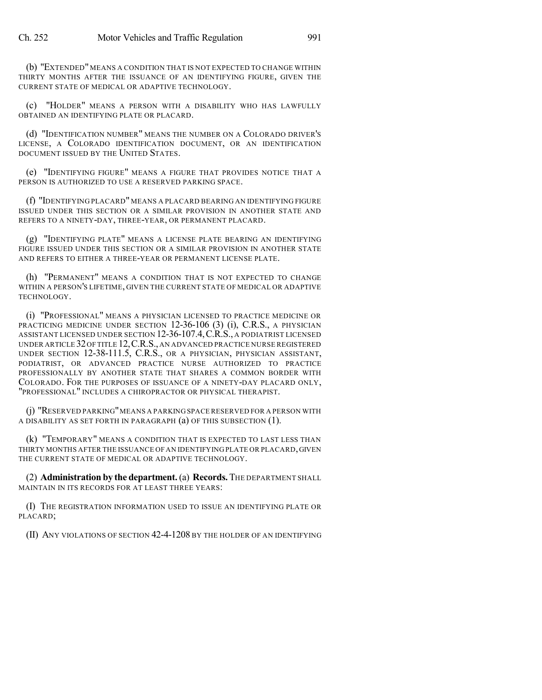(b) "EXTENDED" MEANS A CONDITION THAT IS NOT EXPECTED TO CHANGE WITHIN THIRTY MONTHS AFTER THE ISSUANCE OF AN IDENTIFYING FIGURE, GIVEN THE CURRENT STATE OF MEDICAL OR ADAPTIVE TECHNOLOGY.

(c) "HOLDER" MEANS A PERSON WITH A DISABILITY WHO HAS LAWFULLY OBTAINED AN IDENTIFYING PLATE OR PLACARD.

(d) "IDENTIFICATION NUMBER" MEANS THE NUMBER ON A COLORADO DRIVER'S LICENSE, A COLORADO IDENTIFICATION DOCUMENT, OR AN IDENTIFICATION DOCUMENT ISSUED BY THE UNITED STATES.

(e) "IDENTIFYING FIGURE" MEANS A FIGURE THAT PROVIDES NOTICE THAT A PERSON IS AUTHORIZED TO USE A RESERVED PARKING SPACE.

(f) "IDENTIFYING PLACARD" MEANS A PLACARD BEARING AN IDENTIFYING FIGURE ISSUED UNDER THIS SECTION OR A SIMILAR PROVISION IN ANOTHER STATE AND REFERS TO A NINETY-DAY, THREE-YEAR, OR PERMANENT PLACARD.

(g) "IDENTIFYING PLATE" MEANS A LICENSE PLATE BEARING AN IDENTIFYING FIGURE ISSUED UNDER THIS SECTION OR A SIMILAR PROVISION IN ANOTHER STATE AND REFERS TO EITHER A THREE-YEAR OR PERMANENT LICENSE PLATE.

(h) "PERMANENT" MEANS A CONDITION THAT IS NOT EXPECTED TO CHANGE WITHIN A PERSON'S LIFETIME, GIVEN THE CURRENT STATE OF MEDICAL OR ADAPTIVE TECHNOLOGY.

(i) "PROFESSIONAL" MEANS A PHYSICIAN LICENSED TO PRACTICE MEDICINE OR PRACTICING MEDICINE UNDER SECTION 12-36-106 (3) (i), C.R.S., A PHYSICIAN ASSISTANT LICENSED UNDER SECTION 12-36-107.4,C.R.S., A PODIATRIST LICENSED UNDER ARTICLE 32OF TITLE 12,C.R.S.,AN ADVANCED PRACTICE NURSE REGISTERED UNDER SECTION 12-38-111.5, C.R.S., OR A PHYSICIAN, PHYSICIAN ASSISTANT, PODIATRIST, OR ADVANCED PRACTICE NURSE AUTHORIZED TO PRACTICE PROFESSIONALLY BY ANOTHER STATE THAT SHARES A COMMON BORDER WITH COLORADO. FOR THE PURPOSES OF ISSUANCE OF A NINETY-DAY PLACARD ONLY, "PROFESSIONAL" INCLUDES A CHIROPRACTOR OR PHYSICAL THERAPIST.

(j) "RESERVED PARKING"MEANS A PARKING SPACE RESERVED FOR A PERSON WITH A DISABILITY AS SET FORTH IN PARAGRAPH (a) OF THIS SUBSECTION (1).

(k) "TEMPORARY" MEANS A CONDITION THAT IS EXPECTED TO LAST LESS THAN THIRTY MONTHS AFTER THE ISSUANCE OFAN IDENTIFYING PLATE OR PLACARD,GIVEN THE CURRENT STATE OF MEDICAL OR ADAPTIVE TECHNOLOGY.

(2) **Administration by the department.**(a) **Records.** THE DEPARTMENT SHALL MAINTAIN IN ITS RECORDS FOR AT LEAST THREE YEARS:

(I) THE REGISTRATION INFORMATION USED TO ISSUE AN IDENTIFYING PLATE OR PLACARD;

(II) ANY VIOLATIONS OF SECTION 42-4-1208 BY THE HOLDER OF AN IDENTIFYING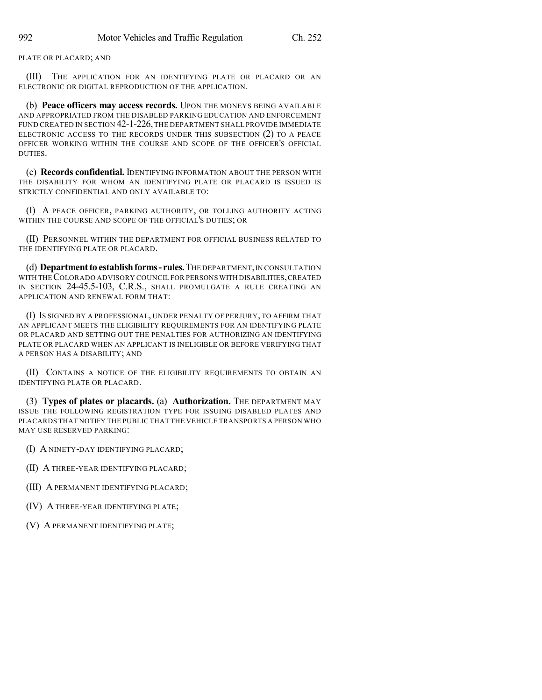## PLATE OR PLACARD; AND

(III) THE APPLICATION FOR AN IDENTIFYING PLATE OR PLACARD OR AN ELECTRONIC OR DIGITAL REPRODUCTION OF THE APPLICATION.

(b) **Peace officers may access records.** UPON THE MONEYS BEING AVAILABLE AND APPROPRIATED FROM THE DISABLED PARKING EDUCATION AND ENFORCEMENT FUND CREATED IN SECTION 42-1-226, THE DEPARTMENT SHALL PROVIDE IMMEDIATE ELECTRONIC ACCESS TO THE RECORDS UNDER THIS SUBSECTION (2) TO A PEACE OFFICER WORKING WITHIN THE COURSE AND SCOPE OF THE OFFICER'S OFFICIAL DUTIES.

(c) **Records confidential.** IDENTIFYING INFORMATION ABOUT THE PERSON WITH THE DISABILITY FOR WHOM AN IDENTIFYING PLATE OR PLACARD IS ISSUED IS STRICTLY CONFIDENTIAL AND ONLY AVAILABLE TO:

(I) A PEACE OFFICER, PARKING AUTHORITY, OR TOLLING AUTHORITY ACTING WITHIN THE COURSE AND SCOPE OF THE OFFICIAL'S DUTIES; OR

(II) PERSONNEL WITHIN THE DEPARTMENT FOR OFFICIAL BUSINESS RELATED TO THE IDENTIFYING PLATE OR PLACARD.

(d) **Department to establish forms - rules.** THE DEPARTMENT, IN CONSULTATION WITH THECOLORADO ADVISORY COUNCIL FOR PERSONS WITH DISABILITIES,CREATED IN SECTION 24-45.5-103, C.R.S., SHALL PROMULGATE A RULE CREATING AN APPLICATION AND RENEWAL FORM THAT:

(I) IS SIGNED BY A PROFESSIONAL, UNDER PENALTY OF PERJURY, TO AFFIRM THAT AN APPLICANT MEETS THE ELIGIBILITY REQUIREMENTS FOR AN IDENTIFYING PLATE OR PLACARD AND SETTING OUT THE PENALTIES FOR AUTHORIZING AN IDENTIFYING PLATE OR PLACARD WHEN AN APPLICANT IS INELIGIBLE OR BEFORE VERIFYING THAT A PERSON HAS A DISABILITY; AND

(II) CONTAINS A NOTICE OF THE ELIGIBILITY REQUIREMENTS TO OBTAIN AN IDENTIFYING PLATE OR PLACARD.

(3) **Types of plates or placards.** (a) **Authorization.** THE DEPARTMENT MAY ISSUE THE FOLLOWING REGISTRATION TYPE FOR ISSUING DISABLED PLATES AND PLACARDS THAT NOTIFY THE PUBLIC THAT THE VEHICLE TRANSPORTS A PERSON WHO MAY USE RESERVED PARKING:

(I) A NINETY-DAY IDENTIFYING PLACARD;

(II) A THREE-YEAR IDENTIFYING PLACARD;

(III) A PERMANENT IDENTIFYING PLACARD;

(IV) A THREE-YEAR IDENTIFYING PLATE;

(V) A PERMANENT IDENTIFYING PLATE;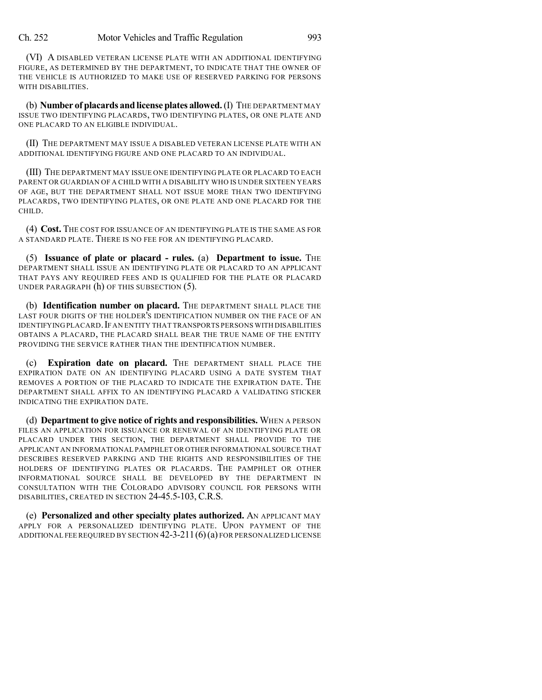(VI) A DISABLED VETERAN LICENSE PLATE WITH AN ADDITIONAL IDENTIFYING FIGURE, AS DETERMINED BY THE DEPARTMENT, TO INDICATE THAT THE OWNER OF THE VEHICLE IS AUTHORIZED TO MAKE USE OF RESERVED PARKING FOR PERSONS WITH DISABILITIES.

(b) **Number of placards and license plates allowed.**(I) THE DEPARTMENT MAY ISSUE TWO IDENTIFYING PLACARDS, TWO IDENTIFYING PLATES, OR ONE PLATE AND ONE PLACARD TO AN ELIGIBLE INDIVIDUAL.

(II) THE DEPARTMENT MAY ISSUE A DISABLED VETERAN LICENSE PLATE WITH AN ADDITIONAL IDENTIFYING FIGURE AND ONE PLACARD TO AN INDIVIDUAL.

(III) THE DEPARTMENT MAY ISSUE ONE IDENTIFYING PLATE OR PLACARD TO EACH PARENT OR GUARDIAN OF A CHILD WITH A DISABILITY WHO IS UNDER SIXTEEN YEARS OF AGE, BUT THE DEPARTMENT SHALL NOT ISSUE MORE THAN TWO IDENTIFYING PLACARDS, TWO IDENTIFYING PLATES, OR ONE PLATE AND ONE PLACARD FOR THE CHILD.

(4) **Cost.** THE COST FOR ISSUANCE OF AN IDENTIFYING PLATE IS THE SAME AS FOR A STANDARD PLATE. THERE IS NO FEE FOR AN IDENTIFYING PLACARD.

(5) **Issuance of plate or placard - rules.** (a) **Department to issue.** THE DEPARTMENT SHALL ISSUE AN IDENTIFYING PLATE OR PLACARD TO AN APPLICANT THAT PAYS ANY REQUIRED FEES AND IS QUALIFIED FOR THE PLATE OR PLACARD UNDER PARAGRAPH (h) OF THIS SUBSECTION (5).

(b) **Identification number on placard.** THE DEPARTMENT SHALL PLACE THE LAST FOUR DIGITS OF THE HOLDER'S IDENTIFICATION NUMBER ON THE FACE OF AN IDENTIFYING PLACARD. IF AN ENTITY THAT TRANSPORTS PERSONS WITH DISABILITIES OBTAINS A PLACARD, THE PLACARD SHALL BEAR THE TRUE NAME OF THE ENTITY PROVIDING THE SERVICE RATHER THAN THE IDENTIFICATION NUMBER.

(c) **Expiration date on placard.** THE DEPARTMENT SHALL PLACE THE EXPIRATION DATE ON AN IDENTIFYING PLACARD USING A DATE SYSTEM THAT REMOVES A PORTION OF THE PLACARD TO INDICATE THE EXPIRATION DATE. THE DEPARTMENT SHALL AFFIX TO AN IDENTIFYING PLACARD A VALIDATING STICKER INDICATING THE EXPIRATION DATE.

(d) **Department to give notice of rights and responsibilities.** WHEN A PERSON FILES AN APPLICATION FOR ISSUANCE OR RENEWAL OF AN IDENTIFYING PLATE OR PLACARD UNDER THIS SECTION, THE DEPARTMENT SHALL PROVIDE TO THE APPLICANT AN INFORMATIONAL PAMPHLET OR OTHER INFORMATIONAL SOURCE THAT DESCRIBES RESERVED PARKING AND THE RIGHTS AND RESPONSIBILITIES OF THE HOLDERS OF IDENTIFYING PLATES OR PLACARDS. THE PAMPHLET OR OTHER INFORMATIONAL SOURCE SHALL BE DEVELOPED BY THE DEPARTMENT IN CONSULTATION WITH THE COLORADO ADVISORY COUNCIL FOR PERSONS WITH DISABILITIES, CREATED IN SECTION 24-45.5-103, C.R.S.

(e) **Personalized and other specialty plates authorized.** AN APPLICANT MAY APPLY FOR A PERSONALIZED IDENTIFYING PLATE. UPON PAYMENT OF THE ADDITIONAL FEE REQUIRED BY SECTION 42-3-211(6)(a) FOR PERSONALIZED LICENSE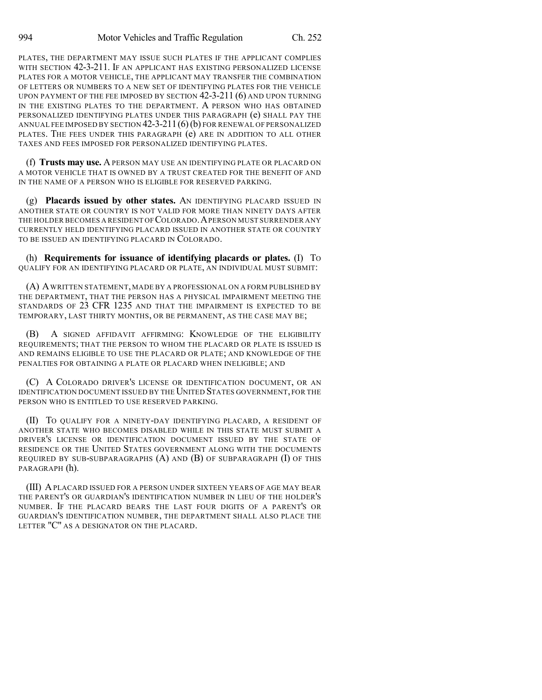PLATES, THE DEPARTMENT MAY ISSUE SUCH PLATES IF THE APPLICANT COMPLIES WITH SECTION 42-3-211. IF AN APPLICANT HAS EXISTING PERSONALIZED LICENSE PLATES FOR A MOTOR VEHICLE, THE APPLICANT MAY TRANSFER THE COMBINATION OF LETTERS OR NUMBERS TO A NEW SET OF IDENTIFYING PLATES FOR THE VEHICLE UPON PAYMENT OF THE FEE IMPOSED BY SECTION 42-3-211 (6) AND UPON TURNING IN THE EXISTING PLATES TO THE DEPARTMENT. A PERSON WHO HAS OBTAINED PERSONALIZED IDENTIFYING PLATES UNDER THIS PARAGRAPH (e) SHALL PAY THE ANNUAL FEE IMPOSED BY SECTION  $42-3-211(6)(b)$  for renewal of personalized PLATES. THE FEES UNDER THIS PARAGRAPH (e) ARE IN ADDITION TO ALL OTHER TAXES AND FEES IMPOSED FOR PERSONALIZED IDENTIFYING PLATES.

(f) **Trusts may use.** APERSON MAY USE AN IDENTIFYING PLATE OR PLACARD ON A MOTOR VEHICLE THAT IS OWNED BY A TRUST CREATED FOR THE BENEFIT OF AND IN THE NAME OF A PERSON WHO IS ELIGIBLE FOR RESERVED PARKING.

(g) **Placards issued by other states.** AN IDENTIFYING PLACARD ISSUED IN ANOTHER STATE OR COUNTRY IS NOT VALID FOR MORE THAN NINETY DAYS AFTER THE HOLDER BECOMES A RESIDENT OF COLORADO. A PERSON MUST SURRENDER ANY CURRENTLY HELD IDENTIFYING PLACARD ISSUED IN ANOTHER STATE OR COUNTRY TO BE ISSUED AN IDENTIFYING PLACARD IN COLORADO.

(h) **Requirements for issuance of identifying placards or plates.** (I) TO QUALIFY FOR AN IDENTIFYING PLACARD OR PLATE, AN INDIVIDUAL MUST SUBMIT:

(A) AWRITTEN STATEMENT, MADE BY A PROFESSIONAL ON A FORM PUBLISHED BY THE DEPARTMENT, THAT THE PERSON HAS A PHYSICAL IMPAIRMENT MEETING THE STANDARDS OF 23 CFR 1235 AND THAT THE IMPAIRMENT IS EXPECTED TO BE TEMPORARY, LAST THIRTY MONTHS, OR BE PERMANENT, AS THE CASE MAY BE;

(B) A SIGNED AFFIDAVIT AFFIRMING: KNOWLEDGE OF THE ELIGIBILITY REQUIREMENTS; THAT THE PERSON TO WHOM THE PLACARD OR PLATE IS ISSUED IS AND REMAINS ELIGIBLE TO USE THE PLACARD OR PLATE; AND KNOWLEDGE OF THE PENALTIES FOR OBTAINING A PLATE OR PLACARD WHEN INELIGIBLE; AND

(C) A COLORADO DRIVER'S LICENSE OR IDENTIFICATION DOCUMENT, OR AN IDENTIFICATION DOCUMENT ISSUED BY THE UNITED STATES GOVERNMENT, FOR THE PERSON WHO IS ENTITLED TO USE RESERVED PARKING.

(II) TO QUALIFY FOR A NINETY-DAY IDENTIFYING PLACARD, A RESIDENT OF ANOTHER STATE WHO BECOMES DISABLED WHILE IN THIS STATE MUST SUBMIT A DRIVER'S LICENSE OR IDENTIFICATION DOCUMENT ISSUED BY THE STATE OF RESIDENCE OR THE UNITED STATES GOVERNMENT ALONG WITH THE DOCUMENTS REQUIRED BY SUB-SUBPARAGRAPHS (A) AND (B) OF SUBPARAGRAPH (I) OF THIS PARAGRAPH (h).

(III) APLACARD ISSUED FOR A PERSON UNDER SIXTEEN YEARS OF AGE MAY BEAR THE PARENT'S OR GUARDIAN'S IDENTIFICATION NUMBER IN LIEU OF THE HOLDER'S NUMBER. IF THE PLACARD BEARS THE LAST FOUR DIGITS OF A PARENT'S OR GUARDIAN'S IDENTIFICATION NUMBER, THE DEPARTMENT SHALL ALSO PLACE THE LETTER "C" AS A DESIGNATOR ON THE PLACARD.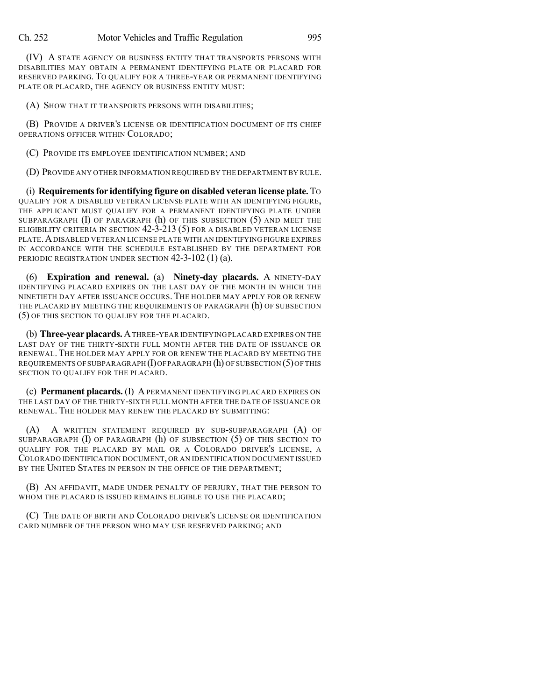(IV) A STATE AGENCY OR BUSINESS ENTITY THAT TRANSPORTS PERSONS WITH DISABILITIES MAY OBTAIN A PERMANENT IDENTIFYING PLATE OR PLACARD FOR RESERVED PARKING. TO QUALIFY FOR A THREE-YEAR OR PERMANENT IDENTIFYING PLATE OR PLACARD, THE AGENCY OR BUSINESS ENTITY MUST:

(A) SHOW THAT IT TRANSPORTS PERSONS WITH DISABILITIES;

(B) PROVIDE A DRIVER'S LICENSE OR IDENTIFICATION DOCUMENT OF ITS CHIEF OPERATIONS OFFICER WITHIN COLORADO;

(C) PROVIDE ITS EMPLOYEE IDENTIFICATION NUMBER; AND

(D) PROVIDE ANY OTHER INFORMATION REQUIRED BY THE DEPARTMENT BY RULE.

(i) **Requirementsfor identifying figure on disabled veteran license plate.** TO QUALIFY FOR A DISABLED VETERAN LICENSE PLATE WITH AN IDENTIFYING FIGURE, THE APPLICANT MUST QUALIFY FOR A PERMANENT IDENTIFYING PLATE UNDER SUBPARAGRAPH  $(I)$  OF PARAGRAPH  $(h)$  OF THIS SUBSECTION  $(5)$  and meet the ELIGIBILITY CRITERIA IN SECTION 42-3-213 (5) FOR A DISABLED VETERAN LICENSE PLATE.ADISABLED VETERAN LICENSE PLATE WITH AN IDENTIFYING FIGURE EXPIRES IN ACCORDANCE WITH THE SCHEDULE ESTABLISHED BY THE DEPARTMENT FOR PERIODIC REGISTRATION UNDER SECTION 42-3-102 (1) (a).

(6) **Expiration and renewal.** (a) **Ninety-day placards.** A NINETY-DAY IDENTIFYING PLACARD EXPIRES ON THE LAST DAY OF THE MONTH IN WHICH THE NINETIETH DAY AFTER ISSUANCE OCCURS. THE HOLDER MAY APPLY FOR OR RENEW THE PLACARD BY MEETING THE REQUIREMENTS OF PARAGRAPH (h) OF SUBSECTION (5) OF THIS SECTION TO QUALIFY FOR THE PLACARD.

(b) **Three-yearplacards.** ATHREE-YEAR IDENTIFYING PLACARD EXPIRES ON THE LAST DAY OF THE THIRTY-SIXTH FULL MONTH AFTER THE DATE OF ISSUANCE OR RENEWAL. THE HOLDER MAY APPLY FOR OR RENEW THE PLACARD BY MEETING THE REQUIREMENTS OF SUBPARAGRAPH (I)OFPARAGRAPH (h) OF SUBSECTION (5)OF THIS SECTION TO QUALIFY FOR THE PLACARD.

(c) **Permanent placards.** (I) A PERMANENT IDENTIFYING PLACARD EXPIRES ON THE LAST DAY OF THE THIRTY-SIXTH FULL MONTH AFTER THE DATE OF ISSUANCE OR RENEWAL. THE HOLDER MAY RENEW THE PLACARD BY SUBMITTING:

(A) A WRITTEN STATEMENT REQUIRED BY SUB-SUBPARAGRAPH (A) OF SUBPARAGRAPH (I) OF PARAGRAPH (h) OF SUBSECTION (5) OF THIS SECTION TO QUALIFY FOR THE PLACARD BY MAIL OR A COLORADO DRIVER'S LICENSE, A COLORADO IDENTIFICATION DOCUMENT, OR AN IDENTIFICATION DOCUMENT ISSUED BY THE UNITED STATES IN PERSON IN THE OFFICE OF THE DEPARTMENT;

(B) AN AFFIDAVIT, MADE UNDER PENALTY OF PERJURY, THAT THE PERSON TO WHOM THE PLACARD IS ISSUED REMAINS ELIGIBLE TO USE THE PLACARD;

(C) THE DATE OF BIRTH AND COLORADO DRIVER'S LICENSE OR IDENTIFICATION CARD NUMBER OF THE PERSON WHO MAY USE RESERVED PARKING; AND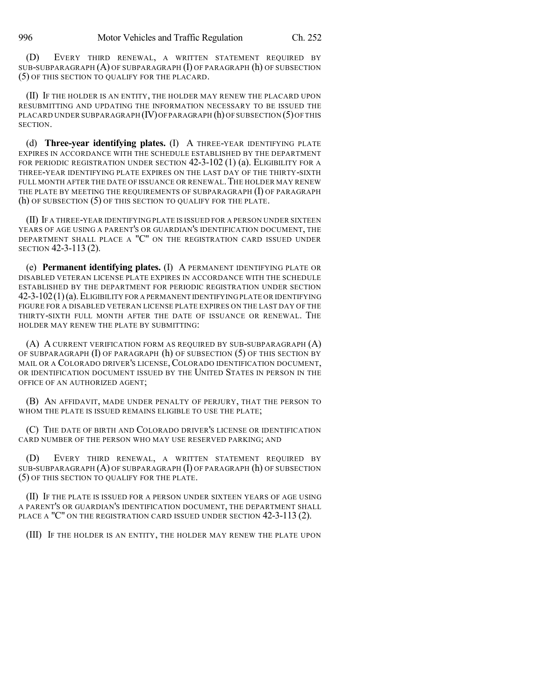(D) EVERY THIRD RENEWAL, A WRITTEN STATEMENT REQUIRED BY SUB-SUBPARAGRAPH (A) OF SUBPARAGRAPH (I) OF PARAGRAPH (h) OF SUBSECTION (5) OF THIS SECTION TO QUALIFY FOR THE PLACARD.

(II) IF THE HOLDER IS AN ENTITY, THE HOLDER MAY RENEW THE PLACARD UPON RESUBMITTING AND UPDATING THE INFORMATION NECESSARY TO BE ISSUED THE PLACARD UNDER SUBPARAGRAPH  $(IV)$  OF PARAGRAPH  $(h)$  OF SUBSECTION  $(5)$  OF THIS SECTION.

(d) **Three-year identifying plates.** (I) A THREE-YEAR IDENTIFYING PLATE EXPIRES IN ACCORDANCE WITH THE SCHEDULE ESTABLISHED BY THE DEPARTMENT FOR PERIODIC REGISTRATION UNDER SECTION 42-3-102 (1) (a). ELIGIBILITY FOR A THREE-YEAR IDENTIFYING PLATE EXPIRES ON THE LAST DAY OF THE THIRTY-SIXTH FULL MONTH AFTER THE DATE OF ISSUANCE OR RENEWAL. THE HOLDER MAY RENEW THE PLATE BY MEETING THE REQUIREMENTS OF SUBPARAGRAPH (I) OF PARAGRAPH (h) OF SUBSECTION (5) OF THIS SECTION TO QUALIFY FOR THE PLATE.

(II) IF A THREE-YEAR IDENTIFYING PLATE IS ISSUED FOR A PERSON UNDER SIXTEEN YEARS OF AGE USING A PARENT'S OR GUARDIAN'S IDENTIFICATION DOCUMENT, THE DEPARTMENT SHALL PLACE A "C" ON THE REGISTRATION CARD ISSUED UNDER SECTION 42-3-113 (2).

(e) **Permanent identifying plates.** (I) A PERMANENT IDENTIFYING PLATE OR DISABLED VETERAN LICENSE PLATE EXPIRES IN ACCORDANCE WITH THE SCHEDULE ESTABLISHED BY THE DEPARTMENT FOR PERIODIC REGISTRATION UNDER SECTION 42-3-102(1)(a).ELIGIBILITY FOR A PERMANENT IDENTIFYING PLATE OR IDENTIFYING FIGURE FOR A DISABLED VETERAN LICENSE PLATE EXPIRES ON THE LAST DAY OF THE THIRTY-SIXTH FULL MONTH AFTER THE DATE OF ISSUANCE OR RENEWAL. THE HOLDER MAY RENEW THE PLATE BY SUBMITTING:

(A) A CURRENT VERIFICATION FORM AS REQUIRED BY SUB-SUBPARAGRAPH (A) OF SUBPARAGRAPH (I) OF PARAGRAPH (h) OF SUBSECTION (5) OF THIS SECTION BY MAIL OR A COLORADO DRIVER'S LICENSE, COLORADO IDENTIFICATION DOCUMENT, OR IDENTIFICATION DOCUMENT ISSUED BY THE UNITED STATES IN PERSON IN THE OFFICE OF AN AUTHORIZED AGENT;

(B) AN AFFIDAVIT, MADE UNDER PENALTY OF PERJURY, THAT THE PERSON TO WHOM THE PLATE IS ISSUED REMAINS ELIGIBLE TO USE THE PLATE;

(C) THE DATE OF BIRTH AND COLORADO DRIVER'S LICENSE OR IDENTIFICATION CARD NUMBER OF THE PERSON WHO MAY USE RESERVED PARKING; AND

(D) EVERY THIRD RENEWAL, A WRITTEN STATEMENT REQUIRED BY SUB-SUBPARAGRAPH  $(A)$  OF SUBPARAGRAPH  $(I)$  OF PARAGRAPH  $(h)$  OF SUBSECTION (5) OF THIS SECTION TO QUALIFY FOR THE PLATE.

(II) IF THE PLATE IS ISSUED FOR A PERSON UNDER SIXTEEN YEARS OF AGE USING A PARENT'S OR GUARDIAN'S IDENTIFICATION DOCUMENT, THE DEPARTMENT SHALL PLACE A "C" ON THE REGISTRATION CARD ISSUED UNDER SECTION 42-3-113 (2).

(III) IF THE HOLDER IS AN ENTITY, THE HOLDER MAY RENEW THE PLATE UPON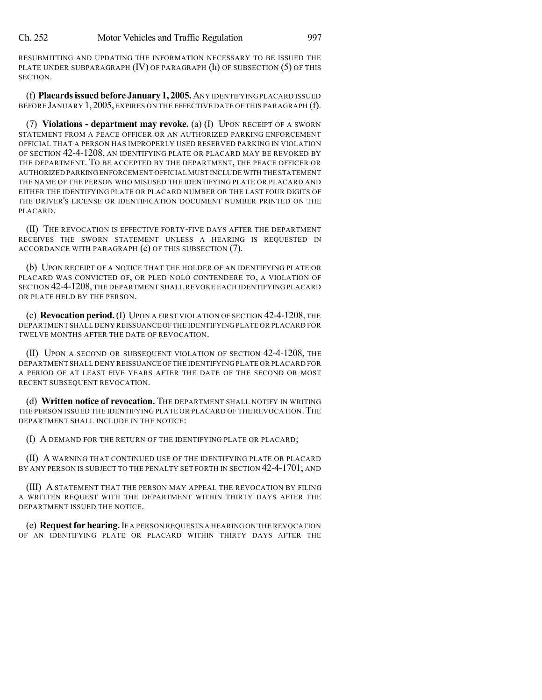RESUBMITTING AND UPDATING THE INFORMATION NECESSARY TO BE ISSUED THE PLATE UNDER SUBPARAGRAPH (IV) OF PARAGRAPH (h) OF SUBSECTION (5) OF THIS SECTION.

(f) **Placardsissuedbefore January 1, 2005.**ANY IDENTIFYING PLACARD ISSUED BEFORE JANUARY 1,2005,EXPIRES ON THE EFFECTIVE DATE OF THIS PARAGRAPH (f).

(7) **Violations - department may revoke.** (a) (I) UPON RECEIPT OF A SWORN STATEMENT FROM A PEACE OFFICER OR AN AUTHORIZED PARKING ENFORCEMENT OFFICIAL THAT A PERSON HAS IMPROPERLY USED RESERVED PARKING IN VIOLATION OF SECTION 42-4-1208, AN IDENTIFYING PLATE OR PLACARD MAY BE REVOKED BY THE DEPARTMENT. TO BE ACCEPTED BY THE DEPARTMENT, THE PEACE OFFICER OR AUTHORIZED PARKINGENFORCEMENT OFFICIAL MUST INCLUDE WITH THE STATEMENT THE NAME OF THE PERSON WHO MISUSED THE IDENTIFYING PLATE OR PLACARD AND EITHER THE IDENTIFYING PLATE OR PLACARD NUMBER OR THE LAST FOUR DIGITS OF THE DRIVER'S LICENSE OR IDENTIFICATION DOCUMENT NUMBER PRINTED ON THE PLACARD.

(II) THE REVOCATION IS EFFECTIVE FORTY-FIVE DAYS AFTER THE DEPARTMENT RECEIVES THE SWORN STATEMENT UNLESS A HEARING IS REQUESTED IN ACCORDANCE WITH PARAGRAPH (e) OF THIS SUBSECTION (7).

(b) UPON RECEIPT OF A NOTICE THAT THE HOLDER OF AN IDENTIFYING PLATE OR PLACARD WAS CONVICTED OF, OR PLED NOLO CONTENDERE TO, A VIOLATION OF SECTION 42-4-1208, THE DEPARTMENT SHALL REVOKE EACH IDENTIFYING PLACARD OR PLATE HELD BY THE PERSON.

(c) **Revocation period.**(I) UPON A FIRST VIOLATION OF SECTION 42-4-1208, THE DEPARTMENT SHALL DENY REISSUANCE OFTHE IDENTIFYING PLATE OR PLACARD FOR TWELVE MONTHS AFTER THE DATE OF REVOCATION.

(II) UPON A SECOND OR SUBSEQUENT VIOLATION OF SECTION 42-4-1208, THE DEPARTMENT SHALL DENY REISSUANCE OFTHE IDENTIFYING PLATE OR PLACARD FOR A PERIOD OF AT LEAST FIVE YEARS AFTER THE DATE OF THE SECOND OR MOST RECENT SUBSEQUENT REVOCATION.

(d) **Written notice of revocation.** THE DEPARTMENT SHALL NOTIFY IN WRITING THE PERSON ISSUED THE IDENTIFYING PLATE OR PLACARD OF THE REVOCATION. THE DEPARTMENT SHALL INCLUDE IN THE NOTICE:

(I) A DEMAND FOR THE RETURN OF THE IDENTIFYING PLATE OR PLACARD;

(II) A WARNING THAT CONTINUED USE OF THE IDENTIFYING PLATE OR PLACARD BY ANY PERSON IS SUBJECT TO THE PENALTY SET FORTH IN SECTION 42-4-1701; AND

(III) A STATEMENT THAT THE PERSON MAY APPEAL THE REVOCATION BY FILING A WRITTEN REQUEST WITH THE DEPARTMENT WITHIN THIRTY DAYS AFTER THE DEPARTMENT ISSUED THE NOTICE.

(e) **Requestfor hearing.**IF A PERSON REQUESTS A HEARING ON THE REVOCATION OF AN IDENTIFYING PLATE OR PLACARD WITHIN THIRTY DAYS AFTER THE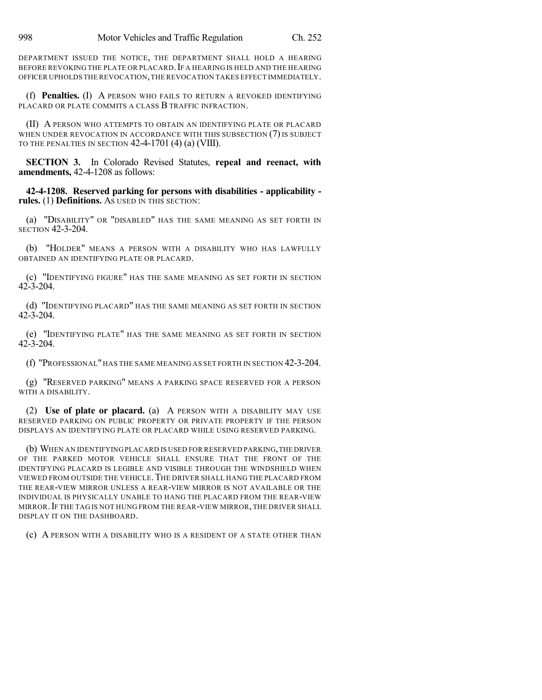DEPARTMENT ISSUED THE NOTICE, THE DEPARTMENT SHALL HOLD A HEARING BEFORE REVOKING THE PLATE OR PLACARD. IF A HEARING IS HELD AND THE HEARING OFFICER UPHOLDS THE REVOCATION,THE REVOCATION TAKES EFFECT IMMEDIATELY.

(f) **Penalties.** (I) A PERSON WHO FAILS TO RETURN A REVOKED IDENTIFYING PLACARD OR PLATE COMMITS A CLASS B TRAFFIC INFRACTION.

(II) A PERSON WHO ATTEMPTS TO OBTAIN AN IDENTIFYING PLATE OR PLACARD WHEN UNDER REVOCATION IN ACCORDANCE WITH THIS SUBSECTION  $(7)$  is subject TO THE PENALTIES IN SECTION 42-4-1701 (4) (a) (VIII).

**SECTION 3.** In Colorado Revised Statutes, **repeal and reenact, with amendments,** 42-4-1208 as follows:

**42-4-1208. Reserved parking for persons with disabilities - applicability rules.** (1) **Definitions.** AS USED IN THIS SECTION:

(a) "DISABILITY" OR "DISABLED" HAS THE SAME MEANING AS SET FORTH IN SECTION 42-3-204.

(b) "HOLDER" MEANS A PERSON WITH A DISABILITY WHO HAS LAWFULLY OBTAINED AN IDENTIFYING PLATE OR PLACARD.

(c) "IDENTIFYING FIGURE" HAS THE SAME MEANING AS SET FORTH IN SECTION 42-3-204.

(d) "IDENTIFYING PLACARD" HAS THE SAME MEANING AS SET FORTH IN SECTION  $42 - 3 - 204$ .

(e) "IDENTIFYING PLATE" HAS THE SAME MEANING AS SET FORTH IN SECTION  $42 - 3 - 204$ .

(f) "PROFESSIONAL" HAS THE SAME MEANING AS SET FORTH IN SECTION 42-3-204.

(g) "RESERVED PARKING" MEANS A PARKING SPACE RESERVED FOR A PERSON WITH A DISABILITY.

(2) **Use of plate or placard.** (a) A PERSON WITH A DISABILITY MAY USE RESERVED PARKING ON PUBLIC PROPERTY OR PRIVATE PROPERTY IF THE PERSON DISPLAYS AN IDENTIFYING PLATE OR PLACARD WHILE USING RESERVED PARKING.

(b) WHEN AN IDENTIFYING PLACARD IS USED FOR RESERVED PARKING,THE DRIVER OF THE PARKED MOTOR VEHICLE SHALL ENSURE THAT THE FRONT OF THE IDENTIFYING PLACARD IS LEGIBLE AND VISIBLE THROUGH THE WINDSHIELD WHEN VIEWED FROM OUTSIDE THE VEHICLE.THE DRIVER SHALL HANG THE PLACARD FROM THE REAR-VIEW MIRROR UNLESS A REAR-VIEW MIRROR IS NOT AVAILABLE OR THE INDIVIDUAL IS PHYSICALLY UNABLE TO HANG THE PLACARD FROM THE REAR-VIEW MIRROR.IF THE TAG IS NOT HUNG FROM THE REAR-VIEW MIRROR, THE DRIVER SHALL DISPLAY IT ON THE DASHBOARD.

(c) A PERSON WITH A DISABILITY WHO IS A RESIDENT OF A STATE OTHER THAN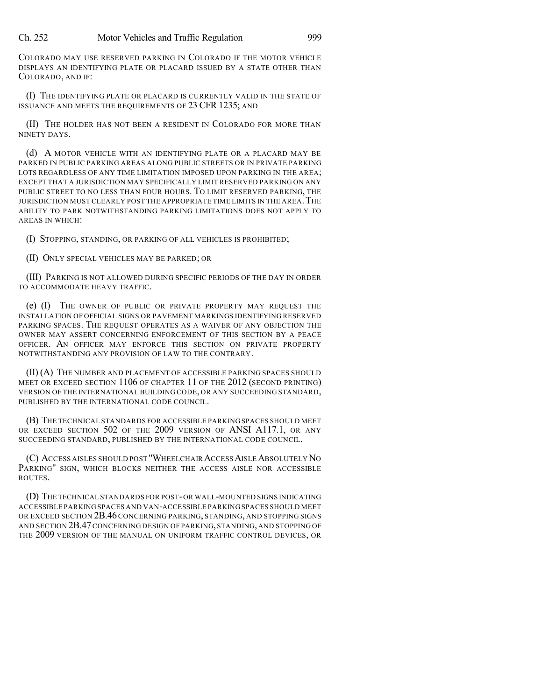COLORADO MAY USE RESERVED PARKING IN COLORADO IF THE MOTOR VEHICLE DISPLAYS AN IDENTIFYING PLATE OR PLACARD ISSUED BY A STATE OTHER THAN COLORADO, AND IF:

(I) THE IDENTIFYING PLATE OR PLACARD IS CURRENTLY VALID IN THE STATE OF ISSUANCE AND MEETS THE REQUIREMENTS OF 23 CFR 1235; AND

(II) THE HOLDER HAS NOT BEEN A RESIDENT IN COLORADO FOR MORE THAN NINETY DAYS.

(d) A MOTOR VEHICLE WITH AN IDENTIFYING PLATE OR A PLACARD MAY BE PARKED IN PUBLIC PARKING AREAS ALONG PUBLIC STREETS OR IN PRIVATE PARKING LOTS REGARDLESS OF ANY TIME LIMITATION IMPOSED UPON PARKING IN THE AREA; EXCEPT THAT A JURISDICTION MAY SPECIFICALLY LIMIT RESERVED PARKING ON ANY PUBLIC STREET TO NO LESS THAN FOUR HOURS. TO LIMIT RESERVED PARKING, THE JURISDICTION MUST CLEARLY POST THE APPROPRIATE TIME LIMITS IN THE AREA. THE ABILITY TO PARK NOTWITHSTANDING PARKING LIMITATIONS DOES NOT APPLY TO AREAS IN WHICH:

(I) STOPPING, STANDING, OR PARKING OF ALL VEHICLES IS PROHIBITED;

(II) ONLY SPECIAL VEHICLES MAY BE PARKED; OR

(III) PARKING IS NOT ALLOWED DURING SPECIFIC PERIODS OF THE DAY IN ORDER TO ACCOMMODATE HEAVY TRAFFIC.

(e) (I) THE OWNER OF PUBLIC OR PRIVATE PROPERTY MAY REQUEST THE INSTALLATION OF OFFICIAL SIGNS OR PAVEMENT MARKINGS IDENTIFYING RESERVED PARKING SPACES. THE REQUEST OPERATES AS A WAIVER OF ANY OBJECTION THE OWNER MAY ASSERT CONCERNING ENFORCEMENT OF THIS SECTION BY A PEACE OFFICER. AN OFFICER MAY ENFORCE THIS SECTION ON PRIVATE PROPERTY NOTWITHSTANDING ANY PROVISION OF LAW TO THE CONTRARY.

(II) (A) THE NUMBER AND PLACEMENT OF ACCESSIBLE PARKING SPACES SHOULD MEET OR EXCEED SECTION 1106 OF CHAPTER 11 OF THE 2012 (SECOND PRINTING) VERSION OF THE INTERNATIONAL BUILDING CODE, OR ANY SUCCEEDING STANDARD, PUBLISHED BY THE INTERNATIONAL CODE COUNCIL.

(B) THE TECHNICAL STANDARDS FOR ACCESSIBLE PARKING SPACES SHOULD MEET OR EXCEED SECTION 502 OF THE 2009 VERSION OF ANSI A117.1, OR ANY SUCCEEDING STANDARD, PUBLISHED BY THE INTERNATIONAL CODE COUNCIL.

(C) ACCESS AISLES SHOULD POST "WHEELCHAIR ACCESS AISLE ABSOLUTELY NO PARKING" SIGN, WHICH BLOCKS NEITHER THE ACCESS AISLE NOR ACCESSIBLE ROUTES.

(D) THE TECHNICAL STANDARDS FOR POST-OR WALL-MOUNTED SIGNS INDICATING ACCESSIBLE PARKING SPACES AND VAN-ACCESSIBLE PARKING SPACES SHOULD MEET OR EXCEED SECTION 2B.46 CONCERNING PARKING, STANDING, AND STOPPING SIGNS AND SECTION 2B.47 CONCERNING DESIGN OF PARKING, STANDING, AND STOPPING OF THE 2009 VERSION OF THE MANUAL ON UNIFORM TRAFFIC CONTROL DEVICES, OR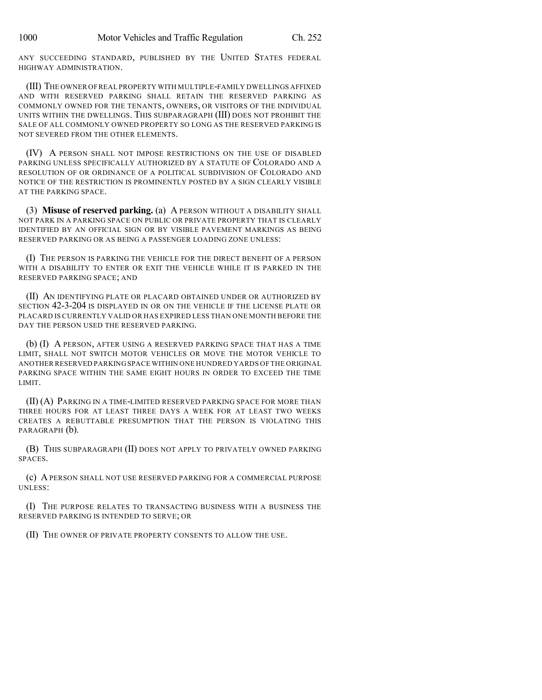ANY SUCCEEDING STANDARD, PUBLISHED BY THE UNITED STATES FEDERAL HIGHWAY ADMINISTRATION.

(III) THE OWNER OFREAL PROPERTY WITH MULTIPLE-FAMILY DWELLINGS AFFIXED AND WITH RESERVED PARKING SHALL RETAIN THE RESERVED PARKING AS COMMONLY OWNED FOR THE TENANTS, OWNERS, OR VISITORS OF THE INDIVIDUAL UNITS WITHIN THE DWELLINGS. THIS SUBPARAGRAPH (III) DOES NOT PROHIBIT THE SALE OF ALL COMMONLY OWNED PROPERTY SO LONG AS THE RESERVED PARKING IS NOT SEVERED FROM THE OTHER ELEMENTS.

(IV) A PERSON SHALL NOT IMPOSE RESTRICTIONS ON THE USE OF DISABLED PARKING UNLESS SPECIFICALLY AUTHORIZED BY A STATUTE OF COLORADO AND A RESOLUTION OF OR ORDINANCE OF A POLITICAL SUBDIVISION OF COLORADO AND NOTICE OF THE RESTRICTION IS PROMINENTLY POSTED BY A SIGN CLEARLY VISIBLE AT THE PARKING SPACE.

(3) **Misuse of reserved parking.** (a) A PERSON WITHOUT A DISABILITY SHALL NOT PARK IN A PARKING SPACE ON PUBLIC OR PRIVATE PROPERTY THAT IS CLEARLY IDENTIFIED BY AN OFFICIAL SIGN OR BY VISIBLE PAVEMENT MARKINGS AS BEING RESERVED PARKING OR AS BEING A PASSENGER LOADING ZONE UNLESS:

(I) THE PERSON IS PARKING THE VEHICLE FOR THE DIRECT BENEFIT OF A PERSON WITH A DISABILITY TO ENTER OR EXIT THE VEHICLE WHILE IT IS PARKED IN THE RESERVED PARKING SPACE; AND

(II) AN IDENTIFYING PLATE OR PLACARD OBTAINED UNDER OR AUTHORIZED BY SECTION 42-3-204 IS DISPLAYED IN OR ON THE VEHICLE IF THE LICENSE PLATE OR PLACARD IS CURRENTLY VALID OR HAS EXPIRED LESS THAN ONE MONTH BEFORE THE DAY THE PERSON USED THE RESERVED PARKING.

(b) (I) A PERSON, AFTER USING A RESERVED PARKING SPACE THAT HAS A TIME LIMIT, SHALL NOT SWITCH MOTOR VEHICLES OR MOVE THE MOTOR VEHICLE TO ANOTHER RESERVED PARKING SPACE WITHIN ONE HUNDRED YARDS OF THE ORIGINAL PARKING SPACE WITHIN THE SAME EIGHT HOURS IN ORDER TO EXCEED THE TIME LIMIT.

(II) (A) PARKING IN A TIME-LIMITED RESERVED PARKING SPACE FOR MORE THAN THREE HOURS FOR AT LEAST THREE DAYS A WEEK FOR AT LEAST TWO WEEKS CREATES A REBUTTABLE PRESUMPTION THAT THE PERSON IS VIOLATING THIS PARAGRAPH  $(b)$ .

(B) THIS SUBPARAGRAPH (II) DOES NOT APPLY TO PRIVATELY OWNED PARKING SPACES.

(c) A PERSON SHALL NOT USE RESERVED PARKING FOR A COMMERCIAL PURPOSE UNLESS:

(I) THE PURPOSE RELATES TO TRANSACTING BUSINESS WITH A BUSINESS THE RESERVED PARKING IS INTENDED TO SERVE; OR

(II) THE OWNER OF PRIVATE PROPERTY CONSENTS TO ALLOW THE USE.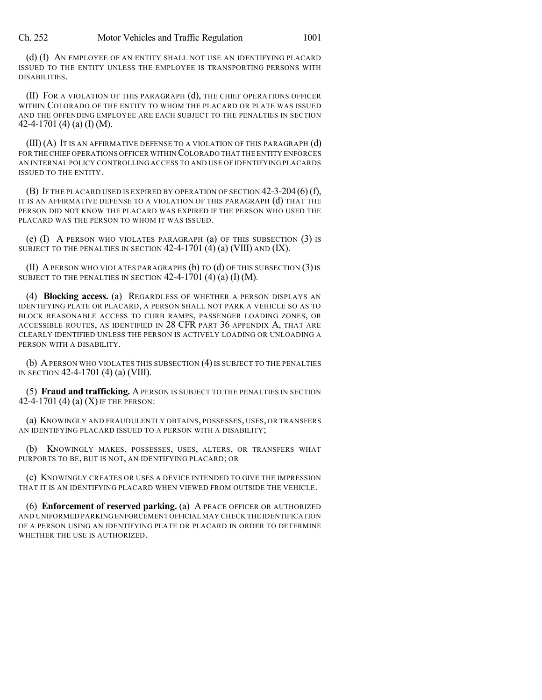(d) (I) AN EMPLOYEE OF AN ENTITY SHALL NOT USE AN IDENTIFYING PLACARD ISSUED TO THE ENTITY UNLESS THE EMPLOYEE IS TRANSPORTING PERSONS WITH DISABILITIES.

(II) FOR A VIOLATION OF THIS PARAGRAPH (d), THE CHIEF OPERATIONS OFFICER WITHIN COLORADO OF THE ENTITY TO WHOM THE PLACARD OR PLATE WAS ISSUED AND THE OFFENDING EMPLOYEE ARE EACH SUBJECT TO THE PENALTIES IN SECTION 42-4-1701 (4) (a) (I) (M).

(III) (A) IT IS AN AFFIRMATIVE DEFENSE TO A VIOLATION OF THIS PARAGRAPH (d) FOR THE CHIEF OPERATIONS OFFICER WITHIN COLORADO THAT THE ENTITY ENFORCES AN INTERNAL POLICY CONTROLLING ACCESS TO AND USE OF IDENTIFYING PLACARDS ISSUED TO THE ENTITY.

(B) IF THE PLACARD USED IS EXPIRED BY OPERATION OF SECTION 42-3-204(6) (f), IT IS AN AFFIRMATIVE DEFENSE TO A VIOLATION OF THIS PARAGRAPH (d) THAT THE PERSON DID NOT KNOW THE PLACARD WAS EXPIRED IF THE PERSON WHO USED THE PLACARD WAS THE PERSON TO WHOM IT WAS ISSUED.

(e) (I) A PERSON WHO VIOLATES PARAGRAPH (a) OF THIS SUBSECTION (3) IS SUBJECT TO THE PENALTIES IN SECTION  $42-4-1701$  (4) (a) (VIII) AND (IX).

(II) A PERSON WHO VIOLATES PARAGRAPHS  $(b)$  to  $(d)$  of this subsection  $(3)$  is SUBJECT TO THE PENALTIES IN SECTION  $42-4-1701$  (4) (a) (I) (M).

(4) **Blocking access.** (a) REGARDLESS OF WHETHER A PERSON DISPLAYS AN IDENTIFYING PLATE OR PLACARD, A PERSON SHALL NOT PARK A VEHICLE SO AS TO BLOCK REASONABLE ACCESS TO CURB RAMPS, PASSENGER LOADING ZONES, OR ACCESSIBLE ROUTES, AS IDENTIFIED IN 28 CFR PART 36 APPENDIX A, THAT ARE CLEARLY IDENTIFIED UNLESS THE PERSON IS ACTIVELY LOADING OR UNLOADING A PERSON WITH A DISABILITY.

(b) APERSON WHO VIOLATES THIS SUBSECTION (4)IS SUBJECT TO THE PENALTIES IN SECTION 42-4-1701 (4) (a) (VIII).

(5) **Fraud and trafficking.** A PERSON IS SUBJECT TO THE PENALTIES IN SECTION 42-4-1701 (4) (a) (X) IF THE PERSON:

(a) KNOWINGLY AND FRAUDULENTLY OBTAINS, POSSESSES, USES, OR TRANSFERS AN IDENTIFYING PLACARD ISSUED TO A PERSON WITH A DISABILITY;

(b) KNOWINGLY MAKES, POSSESSES, USES, ALTERS, OR TRANSFERS WHAT PURPORTS TO BE, BUT IS NOT, AN IDENTIFYING PLACARD; OR

(c) KNOWINGLY CREATES OR USES A DEVICE INTENDED TO GIVE THE IMPRESSION THAT IT IS AN IDENTIFYING PLACARD WHEN VIEWED FROM OUTSIDE THE VEHICLE.

(6) **Enforcement of reserved parking.** (a) A PEACE OFFICER OR AUTHORIZED AND UNIFORMED PARKING ENFORCEMENT OFFICIAL MAY CHECK THE IDENTIFICATION OF A PERSON USING AN IDENTIFYING PLATE OR PLACARD IN ORDER TO DETERMINE WHETHER THE USE IS AUTHORIZED.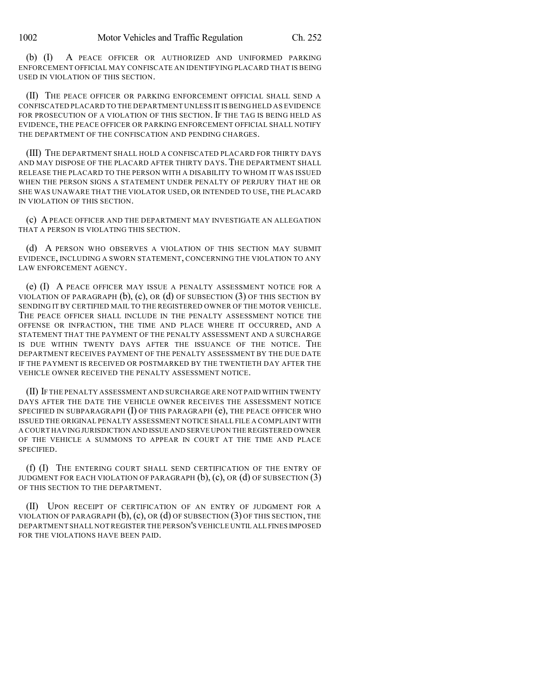(b) (I) A PEACE OFFICER OR AUTHORIZED AND UNIFORMED PARKING ENFORCEMENT OFFICIAL MAY CONFISCATE AN IDENTIFYING PLACARD THAT IS BEING USED IN VIOLATION OF THIS SECTION.

(II) THE PEACE OFFICER OR PARKING ENFORCEMENT OFFICIAL SHALL SEND A CONFISCATED PLACARD TO THE DEPARTMENT UNLESS IT IS BEING HELD AS EVIDENCE FOR PROSECUTION OF A VIOLATION OF THIS SECTION. IF THE TAG IS BEING HELD AS EVIDENCE, THE PEACE OFFICER OR PARKING ENFORCEMENT OFFICIAL SHALL NOTIFY THE DEPARTMENT OF THE CONFISCATION AND PENDING CHARGES.

(III) THE DEPARTMENT SHALL HOLD A CONFISCATED PLACARD FOR THIRTY DAYS AND MAY DISPOSE OF THE PLACARD AFTER THIRTY DAYS. THE DEPARTMENT SHALL RELEASE THE PLACARD TO THE PERSON WITH A DISABILITY TO WHOM IT WAS ISSUED WHEN THE PERSON SIGNS A STATEMENT UNDER PENALTY OF PERJURY THAT HE OR SHE WAS UNAWARE THAT THE VIOLATOR USED, OR INTENDED TO USE, THE PLACARD IN VIOLATION OF THIS SECTION.

(c) A PEACE OFFICER AND THE DEPARTMENT MAY INVESTIGATE AN ALLEGATION THAT A PERSON IS VIOLATING THIS SECTION.

(d) A PERSON WHO OBSERVES A VIOLATION OF THIS SECTION MAY SUBMIT EVIDENCE, INCLUDING A SWORN STATEMENT, CONCERNING THE VIOLATION TO ANY LAW ENFORCEMENT AGENCY.

(e) (I) A PEACE OFFICER MAY ISSUE A PENALTY ASSESSMENT NOTICE FOR A VIOLATION OF PARAGRAPH  $(b)$ ,  $(c)$ , OR  $(d)$  Of SUBSECTION  $(3)$  OF THIS SECTION BY SENDING IT BY CERTIFIED MAIL TO THE REGISTERED OWNER OF THE MOTOR VEHICLE. THE PEACE OFFICER SHALL INCLUDE IN THE PENALTY ASSESSMENT NOTICE THE OFFENSE OR INFRACTION, THE TIME AND PLACE WHERE IT OCCURRED, AND A STATEMENT THAT THE PAYMENT OF THE PENALTY ASSESSMENT AND A SURCHARGE IS DUE WITHIN TWENTY DAYS AFTER THE ISSUANCE OF THE NOTICE. THE DEPARTMENT RECEIVES PAYMENT OF THE PENALTY ASSESSMENT BY THE DUE DATE IF THE PAYMENT IS RECEIVED OR POSTMARKED BY THE TWENTIETH DAY AFTER THE VEHICLE OWNER RECEIVED THE PENALTY ASSESSMENT NOTICE.

(II) IF THE PENALTY ASSESSMENT AND SURCHARGE ARE NOT PAID WITHIN TWENTY DAYS AFTER THE DATE THE VEHICLE OWNER RECEIVES THE ASSESSMENT NOTICE SPECIFIED IN SUBPARAGRAPH  $(I)$  of this paragraph  $(e)$ , the peace officer who ISSUED THE ORIGINAL PENALTY ASSESSMENT NOTICE SHALL FILE A COMPLAINT WITH A COURT HAVING JURISDICTION AND ISSUE AND SERVE UPON THE REGISTERED OWNER OF THE VEHICLE A SUMMONS TO APPEAR IN COURT AT THE TIME AND PLACE SPECIFIED.

(f) (I) THE ENTERING COURT SHALL SEND CERTIFICATION OF THE ENTRY OF JUDGMENT FOR EACH VIOLATION OF PARAGRAPH  $(b)$ ,  $(c)$ , OR  $(d)$  OF SUBSECTION  $(3)$ OF THIS SECTION TO THE DEPARTMENT.

(II) UPON RECEIPT OF CERTIFICATION OF AN ENTRY OF JUDGMENT FOR A VIOLATION OF PARAGRAPH  $(b)$ ,  $(c)$ , OR  $(d)$  OF SUBSECTION  $(3)$  OF THIS SECTION, THE DEPARTMENT SHALL NOT REGISTER THE PERSON'S VEHICLE UNTIL ALL FINES IMPOSED FOR THE VIOLATIONS HAVE BEEN PAID.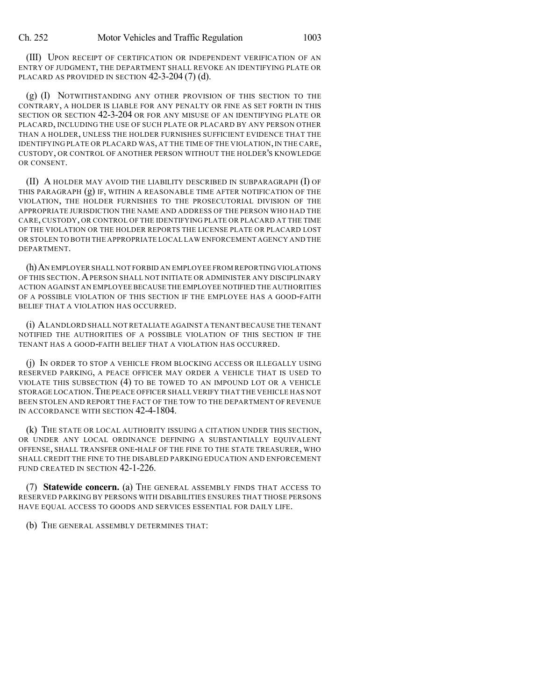(III) UPON RECEIPT OF CERTIFICATION OR INDEPENDENT VERIFICATION OF AN ENTRY OF JUDGMENT, THE DEPARTMENT SHALL REVOKE AN IDENTIFYING PLATE OR PLACARD AS PROVIDED IN SECTION 42-3-204 (7) (d).

(g) (I) NOTWITHSTANDING ANY OTHER PROVISION OF THIS SECTION TO THE CONTRARY, A HOLDER IS LIABLE FOR ANY PENALTY OR FINE AS SET FORTH IN THIS SECTION OR SECTION 42-3-204 OR FOR ANY MISUSE OF AN IDENTIFYING PLATE OR PLACARD, INCLUDING THE USE OF SUCH PLATE OR PLACARD BY ANY PERSON OTHER THAN A HOLDER, UNLESS THE HOLDER FURNISHES SUFFICIENT EVIDENCE THAT THE IDENTIFYING PLATE OR PLACARD WAS, AT THE TIME OF THE VIOLATION, IN THE CARE, CUSTODY, OR CONTROL OF ANOTHER PERSON WITHOUT THE HOLDER'S KNOWLEDGE OR CONSENT.

(II) A HOLDER MAY AVOID THE LIABILITY DESCRIBED IN SUBPARAGRAPH (I) OF THIS PARAGRAPH (g) IF, WITHIN A REASONABLE TIME AFTER NOTIFICATION OF THE VIOLATION, THE HOLDER FURNISHES TO THE PROSECUTORIAL DIVISION OF THE APPROPRIATE JURISDICTION THE NAME AND ADDRESS OF THE PERSON WHO HAD THE CARE, CUSTODY, OR CONTROL OF THE IDENTIFYING PLATE OR PLACARD AT THE TIME OF THE VIOLATION OR THE HOLDER REPORTS THE LICENSE PLATE OR PLACARD LOST OR STOLEN TO BOTH THE APPROPRIATE LOCAL LAW ENFORCEMENT AGENCY AND THE DEPARTMENT.

(h)AN EMPLOYER SHALL NOT FORBID AN EMPLOYEE FROM REPORTING VIOLATIONS OF THIS SECTION.APERSON SHALL NOT INITIATE OR ADMINISTER ANY DISCIPLINARY ACTION AGAINST AN EMPLOYEE BECAUSE THE EMPLOYEE NOTIFIED THE AUTHORITIES OF A POSSIBLE VIOLATION OF THIS SECTION IF THE EMPLOYEE HAS A GOOD-FAITH BELIEF THAT A VIOLATION HAS OCCURRED.

(i) ALANDLORD SHALL NOT RETALIATE AGAINST A TENANT BECAUSE THE TENANT NOTIFIED THE AUTHORITIES OF A POSSIBLE VIOLATION OF THIS SECTION IF THE TENANT HAS A GOOD-FAITH BELIEF THAT A VIOLATION HAS OCCURRED.

(j) IN ORDER TO STOP A VEHICLE FROM BLOCKING ACCESS OR ILLEGALLY USING RESERVED PARKING, A PEACE OFFICER MAY ORDER A VEHICLE THAT IS USED TO VIOLATE THIS SUBSECTION (4) TO BE TOWED TO AN IMPOUND LOT OR A VEHICLE STORAGE LOCATION.THE PEACE OFFICER SHALL VERIFY THAT THE VEHICLE HAS NOT BEEN STOLEN AND REPORT THE FACT OF THE TOW TO THE DEPARTMENT OF REVENUE IN ACCORDANCE WITH SECTION 42-4-1804.

(k) THE STATE OR LOCAL AUTHORITY ISSUING A CITATION UNDER THIS SECTION, OR UNDER ANY LOCAL ORDINANCE DEFINING A SUBSTANTIALLY EQUIVALENT OFFENSE, SHALL TRANSFER ONE-HALF OF THE FINE TO THE STATE TREASURER, WHO SHALL CREDIT THE FINE TO THE DISABLED PARKING EDUCATION AND ENFORCEMENT FUND CREATED IN SECTION 42-1-226.

(7) **Statewide concern.** (a) THE GENERAL ASSEMBLY FINDS THAT ACCESS TO RESERVED PARKING BY PERSONS WITH DISABILITIES ENSURES THAT THOSE PERSONS HAVE EQUAL ACCESS TO GOODS AND SERVICES ESSENTIAL FOR DAILY LIFE.

(b) THE GENERAL ASSEMBLY DETERMINES THAT: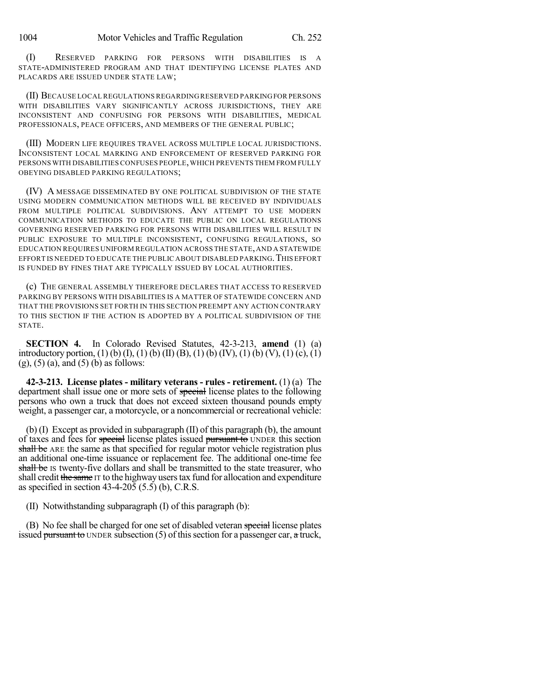(I) RESERVED PARKING FOR PERSONS WITH DISABILITIES IS A STATE-ADMINISTERED PROGRAM AND THAT IDENTIFYING LICENSE PLATES AND PLACARDS ARE ISSUED UNDER STATE LAW;

(II) BECAUSE LOCAL REGULATIONS REGARDING RESERVED PARKINGFOR PERSONS WITH DISABILITIES VARY SIGNIFICANTLY ACROSS JURISDICTIONS, THEY ARE INCONSISTENT AND CONFUSING FOR PERSONS WITH DISABILITIES, MEDICAL PROFESSIONALS, PEACE OFFICERS, AND MEMBERS OF THE GENERAL PUBLIC;

(III) MODERN LIFE REQUIRES TRAVEL ACROSS MULTIPLE LOCAL JURISDICTIONS. INCONSISTENT LOCAL MARKING AND ENFORCEMENT OF RESERVED PARKING FOR PERSONS WITH DISABILITIES CONFUSES PEOPLE,WHICH PREVENTS THEM FROM FULLY OBEYING DISABLED PARKING REGULATIONS;

(IV) A MESSAGE DISSEMINATED BY ONE POLITICAL SUBDIVISION OF THE STATE USING MODERN COMMUNICATION METHODS WILL BE RECEIVED BY INDIVIDUALS FROM MULTIPLE POLITICAL SUBDIVISIONS. ANY ATTEMPT TO USE MODERN COMMUNICATION METHODS TO EDUCATE THE PUBLIC ON LOCAL REGULATIONS GOVERNING RESERVED PARKING FOR PERSONS WITH DISABILITIES WILL RESULT IN PUBLIC EXPOSURE TO MULTIPLE INCONSISTENT, CONFUSING REGULATIONS, SO EDUCATION REQUIRES UNIFORM REGULATION ACROSS THE STATE,AND A STATEWIDE EFFORT IS NEEDED TO EDUCATE THE PUBLIC ABOUT DISABLED PARKING. THIS EFFORT IS FUNDED BY FINES THAT ARE TYPICALLY ISSUED BY LOCAL AUTHORITIES.

(c) THE GENERAL ASSEMBLY THEREFORE DECLARES THAT ACCESS TO RESERVED PARKING BY PERSONS WITH DISABILITIES IS A MATTER OF STATEWIDE CONCERN AND THAT THE PROVISIONS SET FORTH IN THIS SECTION PREEMPT ANY ACTION CONTRARY TO THIS SECTION IF THE ACTION IS ADOPTED BY A POLITICAL SUBDIVISION OF THE STATE.

**SECTION 4.** In Colorado Revised Statutes, 42-3-213, **amend** (1) (a) introductory portion, (1) (b) (I), (1) (b) (II) (B), (1) (b) (IV), (1) (b) (V), (1) (c), (1)  $(g)$ ,  $(5)$   $(a)$ , and  $(5)$   $(b)$  as follows:

**42-3-213. License plates - military veterans - rules - retirement.** (1) (a) The department shall issue one or more sets of special license plates to the following persons who own a truck that does not exceed sixteen thousand pounds empty weight, a passenger car, a motorcycle, or a noncommercial or recreational vehicle:

(b) (I) Except as provided in subparagraph (II) of this paragraph (b), the amount of taxes and fees for special license plates issued pursuant to UNDER this section shall be ARE the same as that specified for regular motor vehicle registration plus an additional one-time issuance or replacement fee. The additional one-time fee shall be IS twenty-five dollars and shall be transmitted to the state treasurer, who shall credit the same IT to the highway users tax fund for allocation and expenditure as specified in section 43-4-205 (5.5) (b), C.R.S.

(II) Notwithstanding subparagraph (I) of this paragraph (b):

(B) No fee shall be charged for one set of disabled veteran special license plates issued pursuant to UNDER subsection  $(5)$  of this section for a passenger car, a truck,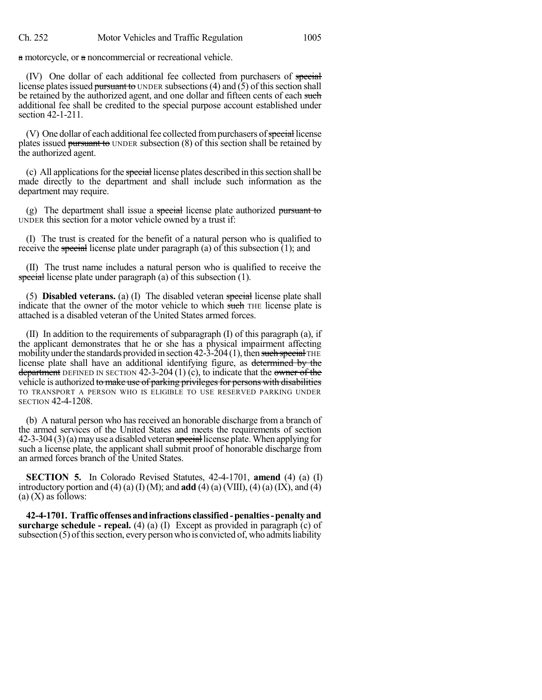a motorcycle, or a noncommercial or recreational vehicle.

(IV) One dollar of each additional fee collected from purchasers of special license plates issued pursuant to UNDER subsections (4) and  $(5)$  of this section shall be retained by the authorized agent, and one dollar and fifteen cents of each such additional fee shall be credited to the special purpose account established under section 42-1-211.

(V) One dollar of each additional fee collected from purchasers of special license plates issued pursuant to UNDER subsection (8) of this section shall be retained by the authorized agent.

 $(c)$  All applications for the special license plates described in this section shall be made directly to the department and shall include such information as the department may require.

(g) The department shall issue a special license plate authorized pursuant to UNDER this section for a motor vehicle owned by a trust if:

(I) The trust is created for the benefit of a natural person who is qualified to receive the special license plate under paragraph (a) of this subsection  $(1)$ ; and

(II) The trust name includes a natural person who is qualified to receive the special license plate under paragraph (a) of this subsection (1).

(5) **Disabled veterans.** (a) (I) The disabled veteran special license plate shall indicate that the owner of the motor vehicle to which such THE license plate is attached is a disabled veteran of the United States armed forces.

(II) In addition to the requirements of subparagraph (I) of this paragraph (a), if the applicant demonstrates that he or she has a physical impairment affecting mobility under the standards provided in section  $42-3-204(1)$ , then such special THE license plate shall have an additional identifying figure, as determined by the department DEFINED IN SECTION 42-3-204 (1) (c), to indicate that the owner of the vehicle is authorized to make use of parking privileges for persons with disabilities TO TRANSPORT A PERSON WHO IS ELIGIBLE TO USE RESERVED PARKING UNDER SECTION 42-4-1208.

(b) A natural person who has received an honorable discharge from a branch of the armed services of the United States and meets the requirements of section  $42-3-304(3)(a)$  may use a disabled veteran special license plate. When applying for such a license plate, the applicant shall submit proof of honorable discharge from an armed forces branch of the United States.

**SECTION 5.** In Colorado Revised Statutes, 42-4-1701, **amend** (4) (a) (I) introductory portion and  $(4)$  (a)  $(1)$  (M); and **add**  $(4)$  (a) (VIII),  $(4)$  (a) (IX), and  $(4)$  $(a)$  (X) as follows:

**42-4-1701. Trafficoffensesandinfractions classified-penalties-penaltyand surcharge schedule - repeal.** (4) (a) (I) Except as provided in paragraph (c) of subsection  $(5)$  of this section, every person who is convicted of, who admits liability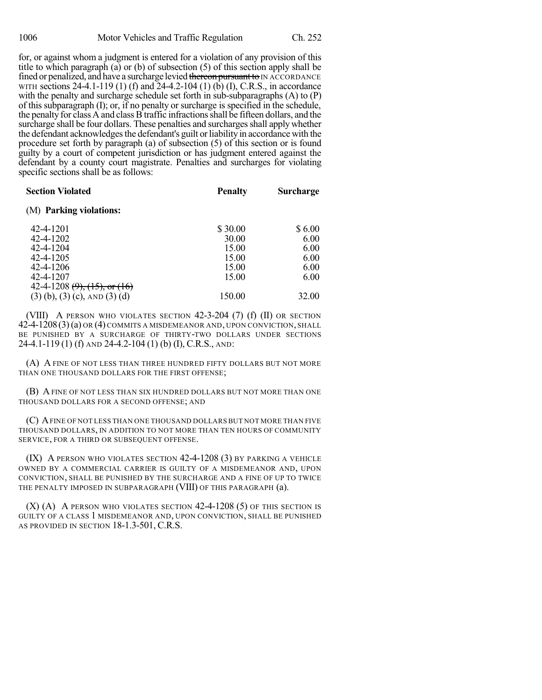for, or against whom a judgment is entered for a violation of any provision of this title to which paragraph (a) or (b) of subsection (5) of this section apply shall be fined or penalized, and have a surcharge levied thereon pursuant to IN ACCORDANCE WITH sections 24-4.1-119 (1) (f) and 24-4.2-104 (1) (b) (I), C.R.S., in accordance with the penalty and surcharge schedule set forth in sub-subparagraphs (A) to (P) of this subparagraph (I); or, if no penalty or surcharge is specified in the schedule, the penalty for class A and class B traffic infractions shall be fifteen dollars, and the surcharge shall be four dollars. These penalties and surcharges shall apply whether the defendant acknowledges the defendant's guilt or liability in accordance with the procedure set forth by paragraph (a) of subsection (5) of this section or is found guilty by a court of competent jurisdiction or has judgment entered against the defendant by a county court magistrate. Penalties and surcharges for violating specific sections shall be as follows:

| <b>Section Violated</b>              | <b>Penalty</b> | <b>Surcharge</b> |
|--------------------------------------|----------------|------------------|
| (M) Parking violations:              |                |                  |
| 42-4-1201                            | \$30.00        | \$6.00           |
| 42-4-1202                            | 30.00          | 6.00             |
| 42-4-1204                            | 15.00          | 6.00             |
| 42-4-1205                            | 15.00          | 6.00             |
| 42-4-1206                            | 15.00          | 6.00             |
| 42-4-1207                            | 15.00          | 6.00             |
| 42-4-1208 $(9)$ , $(15)$ , or $(16)$ |                |                  |
| $(3)$ (b), (3) (c), AND (3) (d)      | 150.00         | 32.00            |

(VIII) A PERSON WHO VIOLATES SECTION 42-3-204 (7) (f) (II) OR SECTION 42-4-1208(3)(a) OR (4) COMMITS A MISDEMEANOR AND, UPON CONVICTION, SHALL BE PUNISHED BY A SURCHARGE OF THIRTY-TWO DOLLARS UNDER SECTIONS 24-4.1-119 (1) (f) AND 24-4.2-104 (1) (b) (I), C.R.S., AND:

(A) A FINE OF NOT LESS THAN THREE HUNDRED FIFTY DOLLARS BUT NOT MORE THAN ONE THOUSAND DOLLARS FOR THE FIRST OFFENSE;

(B) A FINE OF NOT LESS THAN SIX HUNDRED DOLLARS BUT NOT MORE THAN ONE THOUSAND DOLLARS FOR A SECOND OFFENSE; AND

(C) AFINE OF NOT LESS THAN ONE THOUSAND DOLLARS BUT NOT MORE THAN FIVE THOUSAND DOLLARS, IN ADDITION TO NOT MORE THAN TEN HOURS OF COMMUNITY SERVICE, FOR A THIRD OR SUBSEQUENT OFFENSE.

(IX) A PERSON WHO VIOLATES SECTION 42-4-1208 (3) BY PARKING A VEHICLE OWNED BY A COMMERCIAL CARRIER IS GUILTY OF A MISDEMEANOR AND, UPON CONVICTION, SHALL BE PUNISHED BY THE SURCHARGE AND A FINE OF UP TO TWICE THE PENALTY IMPOSED IN SUBPARAGRAPH (VIII) OF THIS PARAGRAPH (a).

(X) (A) A PERSON WHO VIOLATES SECTION 42-4-1208 (5) OF THIS SECTION IS GUILTY OF A CLASS 1 MISDEMEANOR AND, UPON CONVICTION, SHALL BE PUNISHED AS PROVIDED IN SECTION 18-1.3-501, C.R.S.